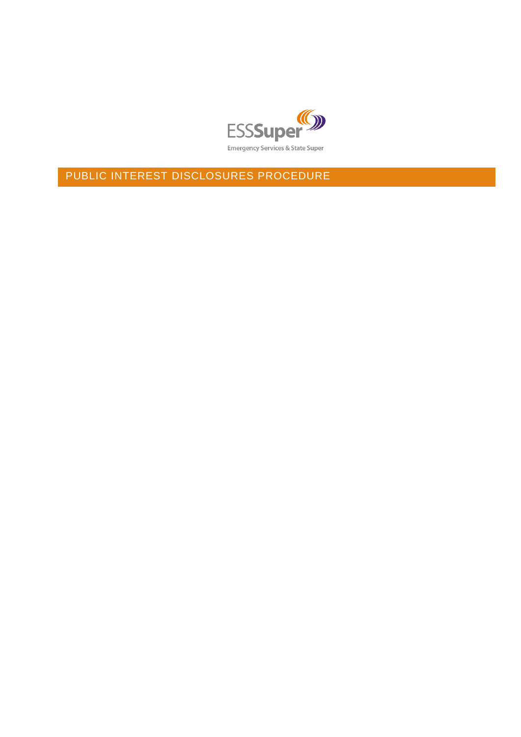

PUBLIC INTEREST DISCLOSURES PROCEDURE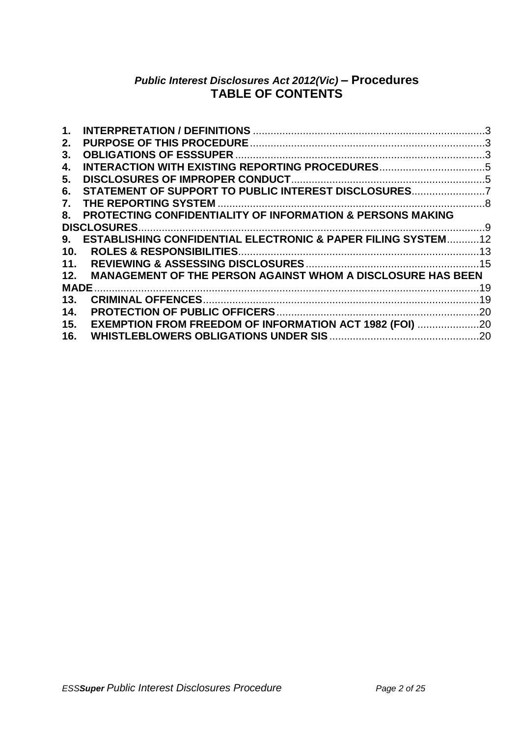# *Public Interest Disclosures Act 2012(Vic)* **– Procedures TABLE OF CONTENTS**

| <b>PROTECTING CONFIDENTIALITY OF INFORMATION &amp; PERSONS MAKING</b> |                                                                                                                                                                                                                                                                     |
|-----------------------------------------------------------------------|---------------------------------------------------------------------------------------------------------------------------------------------------------------------------------------------------------------------------------------------------------------------|
|                                                                       |                                                                                                                                                                                                                                                                     |
|                                                                       |                                                                                                                                                                                                                                                                     |
|                                                                       |                                                                                                                                                                                                                                                                     |
|                                                                       |                                                                                                                                                                                                                                                                     |
|                                                                       |                                                                                                                                                                                                                                                                     |
|                                                                       |                                                                                                                                                                                                                                                                     |
|                                                                       |                                                                                                                                                                                                                                                                     |
|                                                                       |                                                                                                                                                                                                                                                                     |
|                                                                       |                                                                                                                                                                                                                                                                     |
|                                                                       |                                                                                                                                                                                                                                                                     |
|                                                                       | STATEMENT OF SUPPORT TO PUBLIC INTEREST DISCLOSURES<br><b>ESTABLISHING CONFIDENTIAL ELECTRONIC &amp; PAPER FILING SYSTEM12</b><br>12. MANAGEMENT OF THE PERSON AGAINST WHOM A DISCLOSURE HAS BEEN<br><b>EXEMPTION FROM FREEDOM OF INFORMATION ACT 1982 (FOI) 20</b> |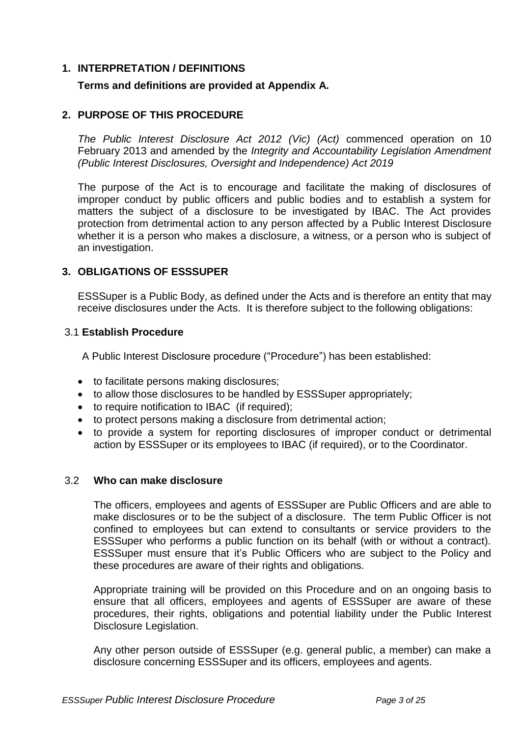## <span id="page-2-0"></span>**1. INTERPRETATION / DEFINITIONS**

## **Terms and definitions are provided at Appendix A.**

## <span id="page-2-1"></span>**2. PURPOSE OF THIS PROCEDURE**

*The Public Interest Disclosure Act 2012 (Vic) (Act)* commenced operation on 10 February 2013 and amended by the *Integrity and Accountability Legislation Amendment (Public Interest Disclosures, Oversight and Independence) Act 2019*

The purpose of the Act is to encourage and facilitate the making of disclosures of improper conduct by public officers and public bodies and to establish a system for matters the subject of a disclosure to be investigated by IBAC. The Act provides protection from detrimental action to any person affected by a Public Interest Disclosure whether it is a person who makes a disclosure, a witness, or a person who is subject of an investigation.

## <span id="page-2-2"></span>**3. OBLIGATIONS OF ESSSUPER**

ESSSuper is a Public Body, as defined under the Acts and is therefore an entity that may receive disclosures under the Acts. It is therefore subject to the following obligations:

#### 3.1 **Establish Procedure**

A Public Interest Disclosure procedure ("Procedure") has been established:

- to facilitate persons making disclosures;
- to allow those disclosures to be handled by ESSSuper appropriately;
- to require notification to IBAC (if required);
- to protect persons making a disclosure from detrimental action;
- to provide a system for reporting disclosures of improper conduct or detrimental action by ESSSuper or its employees to IBAC (if required), or to the Coordinator.

#### 3.2 **Who can make disclosure**

The officers, employees and agents of ESSSuper are Public Officers and are able to make disclosures or to be the subject of a disclosure. The term Public Officer is not confined to employees but can extend to consultants or service providers to the ESSSuper who performs a public function on its behalf (with or without a contract). ESSSuper must ensure that it's Public Officers who are subject to the Policy and these procedures are aware of their rights and obligations.

Appropriate training will be provided on this Procedure and on an ongoing basis to ensure that all officers, employees and agents of ESSSuper are aware of these procedures, their rights, obligations and potential liability under the Public Interest Disclosure Legislation.

Any other person outside of ESSSuper (e.g. general public, a member) can make a disclosure concerning ESSSuper and its officers, employees and agents.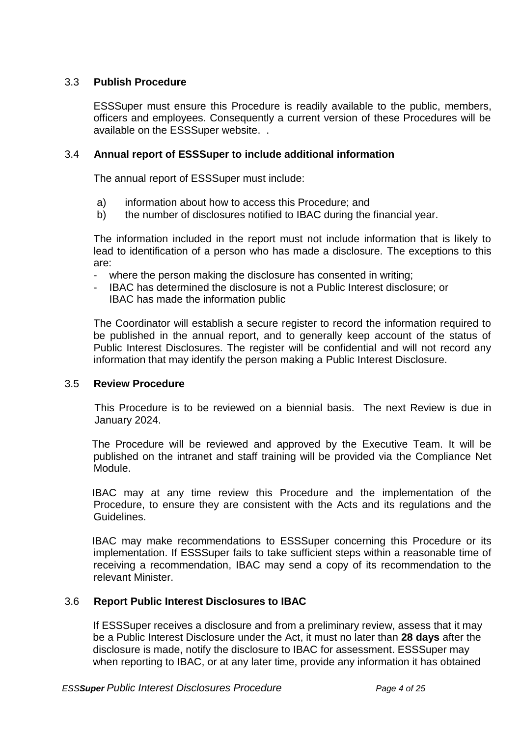# 3.3 **Publish Procedure**

ESSSuper must ensure this Procedure is readily available to the public, members, officers and employees. Consequently a current version of these Procedures will be available on the ESSSuper website. .

## 3.4 **Annual report of ESSSuper to include additional information**

The annual report of ESSSuper must include:

- a) information about how to access this Procedure; and
- b) the number of disclosures notified to IBAC during the financial year.

The information included in the report must not include information that is likely to lead to identification of a person who has made a disclosure. The exceptions to this are:

- where the person making the disclosure has consented in writing;
- IBAC has determined the disclosure is not a Public Interest disclosure; or IBAC has made the information public

The Coordinator will establish a secure register to record the information required to be published in the annual report, and to generally keep account of the status of Public Interest Disclosures. The register will be confidential and will not record any information that may identify the person making a Public Interest Disclosure.

#### 3.5 **Review Procedure**

This Procedure is to be reviewed on a biennial basis. The next Review is due in January 2024.

The Procedure will be reviewed and approved by the Executive Team. It will be published on the intranet and staff training will be provided via the Compliance Net Module.

IBAC may at any time review this Procedure and the implementation of the Procedure, to ensure they are consistent with the Acts and its regulations and the Guidelines.

IBAC may make recommendations to ESSSuper concerning this Procedure or its implementation. If ESSSuper fails to take sufficient steps within a reasonable time of receiving a recommendation, IBAC may send a copy of its recommendation to the relevant Minister.

## 3.6 **Report Public Interest Disclosures to IBAC**

If ESSSuper receives a disclosure and from a preliminary review, assess that it may be a Public Interest Disclosure under the Act, it must no later than **28 days** after the disclosure is made, notify the disclosure to IBAC for assessment. ESSSuper may when reporting to IBAC, or at any later time, provide any information it has obtained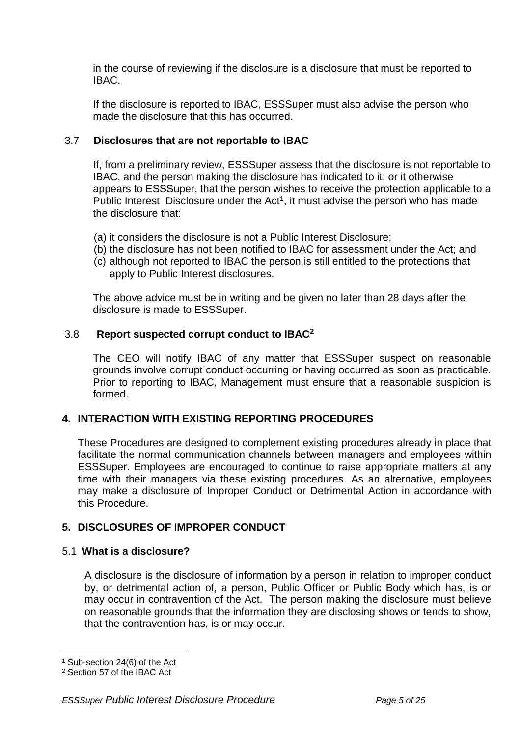in the course of reviewing if the disclosure is a disclosure that must be reported to IBAC.

If the disclosure is reported to IBAC, ESSSuper must also advise the person who made the disclosure that this has occurred.

# 3.7 **Disclosures that are not reportable to IBAC**

If, from a preliminary review, ESSSuper assess that the disclosure is not reportable to IBAC, and the person making the disclosure has indicated to it, or it otherwise appears to ESSSuper, that the person wishes to receive the protection applicable to a Public Interest Disclosure under the  $Act<sup>1</sup>$ , it must advise the person who has made the disclosure that:

- (a) it considers the disclosure is not a Public Interest Disclosure;
- (b) the disclosure has not been notified to IBAC for assessment under the Act; and
- (c) although not reported to IBAC the person is still entitled to the protections that apply to Public Interest disclosures.

The above advice must be in writing and be given no later than 28 days after the disclosure is made to ESSSuper.

# 3.8 **Report suspected corrupt conduct to IBAC<sup>2</sup>**

The CEO will notify IBAC of any matter that ESSSuper suspect on reasonable grounds involve corrupt conduct occurring or having occurred as soon as practicable. Prior to reporting to IBAC, Management must ensure that a reasonable suspicion is formed.

# <span id="page-4-0"></span>**4. INTERACTION WITH EXISTING REPORTING PROCEDURES**

These Procedures are designed to complement existing procedures already in place that facilitate the normal communication channels between managers and employees within ESSSuper. Employees are encouraged to continue to raise appropriate matters at any time with their managers via these existing procedures. As an alternative, employees may make a disclosure of Improper Conduct or Detrimental Action in accordance with this Procedure.

# <span id="page-4-1"></span>**5. DISCLOSURES OF IMPROPER CONDUCT**

## 5.1 **What is a disclosure?**

A disclosure is the disclosure of information by a person in relation to improper conduct by, or detrimental action of, a person, Public Officer or Public Body which has, is or may occur in contravention of the Act. The person making the disclosure must believe on reasonable grounds that the information they are disclosing shows or tends to show, that the contravention has, is or may occur.

 $\overline{a}$ <sup>1</sup> Sub-section 24(6) of the Act

<sup>2</sup> Section 57 of the IBAC Act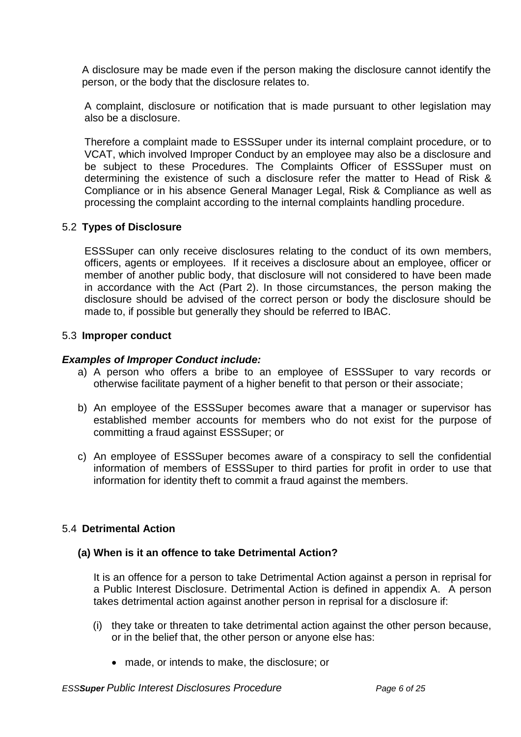A disclosure may be made even if the person making the disclosure cannot identify the person, or the body that the disclosure relates to.

A complaint, disclosure or notification that is made pursuant to other legislation may also be a disclosure.

Therefore a complaint made to ESSSuper under its internal complaint procedure, or to VCAT, which involved Improper Conduct by an employee may also be a disclosure and be subject to these Procedures. The Complaints Officer of ESSSuper must on determining the existence of such a disclosure refer the matter to Head of Risk & Compliance or in his absence General Manager Legal, Risk & Compliance as well as processing the complaint according to the internal complaints handling procedure.

# 5.2 **Types of Disclosure**

ESSSuper can only receive disclosures relating to the conduct of its own members, officers, agents or employees. If it receives a disclosure about an employee, officer or member of another public body, that disclosure will not considered to have been made in accordance with the Act (Part 2). In those circumstances, the person making the disclosure should be advised of the correct person or body the disclosure should be made to, if possible but generally they should be referred to IBAC.

#### 5.3 **Improper conduct**

## *Examples of Improper Conduct include:*

- a) A person who offers a bribe to an employee of ESSSuper to vary records or otherwise facilitate payment of a higher benefit to that person or their associate;
- b) An employee of the ESSSuper becomes aware that a manager or supervisor has established member accounts for members who do not exist for the purpose of committing a fraud against ESSSuper; or
- c) An employee of ESSSuper becomes aware of a conspiracy to sell the confidential information of members of ESSSuper to third parties for profit in order to use that information for identity theft to commit a fraud against the members.

## 5.4 **Detrimental Action**

## **(a) When is it an offence to take Detrimental Action?**

It is an offence for a person to take Detrimental Action against a person in reprisal for a Public Interest Disclosure. Detrimental Action is defined in appendix A. A person takes detrimental action against another person in reprisal for a disclosure if:

- (i) they take or threaten to take detrimental action against the other person because, or in the belief that, the other person or anyone else has:
	- made, or intends to make, the disclosure; or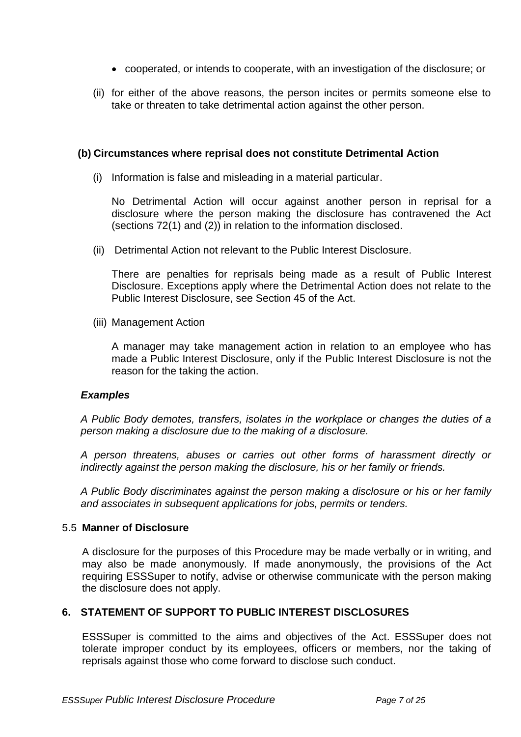- cooperated, or intends to cooperate, with an investigation of the disclosure; or
- (ii) for either of the above reasons, the person incites or permits someone else to take or threaten to take detrimental action against the other person.

#### **(b) Circumstances where reprisal does not constitute Detrimental Action**

(i) Information is false and misleading in a material particular.

No Detrimental Action will occur against another person in reprisal for a disclosure where the person making the disclosure has contravened the Act (sections 72(1) and (2)) in relation to the information disclosed.

(ii) Detrimental Action not relevant to the Public Interest Disclosure.

There are penalties for reprisals being made as a result of Public Interest Disclosure. Exceptions apply where the Detrimental Action does not relate to the Public Interest Disclosure, see Section 45 of the Act.

(iii) Management Action

A manager may take management action in relation to an employee who has made a Public Interest Disclosure, only if the Public Interest Disclosure is not the reason for the taking the action.

#### *Examples*

*A Public Body demotes, transfers, isolates in the workplace or changes the duties of a person making a disclosure due to the making of a disclosure.* 

*A person threatens, abuses or carries out other forms of harassment directly or indirectly against the person making the disclosure, his or her family or friends.* 

*A Public Body discriminates against the person making a disclosure or his or her family and associates in subsequent applications for jobs, permits or tenders.*

## 5.5 **Manner of Disclosure**

A disclosure for the purposes of this Procedure may be made verbally or in writing, and may also be made anonymously. If made anonymously, the provisions of the Act requiring ESSSuper to notify, advise or otherwise communicate with the person making the disclosure does not apply.

## <span id="page-6-0"></span>**6. STATEMENT OF SUPPORT TO PUBLIC INTEREST DISCLOSURES**

ESSSuper is committed to the aims and objectives of the Act. ESSSuper does not tolerate improper conduct by its employees, officers or members, nor the taking of reprisals against those who come forward to disclose such conduct.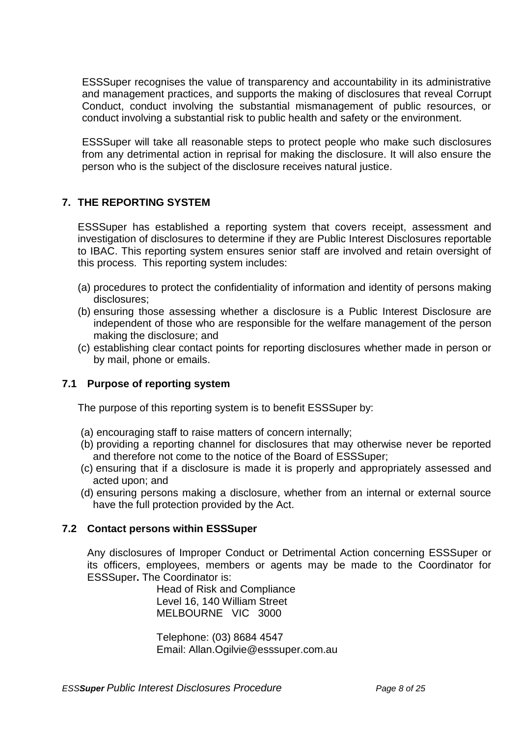ESSSuper recognises the value of transparency and accountability in its administrative and management practices, and supports the making of disclosures that reveal Corrupt Conduct, conduct involving the substantial mismanagement of public resources, or conduct involving a substantial risk to public health and safety or the environment.

ESSSuper will take all reasonable steps to protect people who make such disclosures from any detrimental action in reprisal for making the disclosure. It will also ensure the person who is the subject of the disclosure receives natural justice.

# <span id="page-7-0"></span>**7. THE REPORTING SYSTEM**

ESSSuper has established a reporting system that covers receipt, assessment and investigation of disclosures to determine if they are Public Interest Disclosures reportable to IBAC. This reporting system ensures senior staff are involved and retain oversight of this process. This reporting system includes:

- (a) procedures to protect the confidentiality of information and identity of persons making disclosures;
- (b) ensuring those assessing whether a disclosure is a Public Interest Disclosure are independent of those who are responsible for the welfare management of the person making the disclosure; and
- (c) establishing clear contact points for reporting disclosures whether made in person or by mail, phone or emails.

# **7.1 Purpose of reporting system**

The purpose of this reporting system is to benefit ESSSuper by:

- (a) encouraging staff to raise matters of concern internally;
- (b) providing a reporting channel for disclosures that may otherwise never be reported and therefore not come to the notice of the Board of ESSSuper;
- (c) ensuring that if a disclosure is made it is properly and appropriately assessed and acted upon; and
- (d) ensuring persons making a disclosure, whether from an internal or external source have the full protection provided by the Act.

## **7.2 Contact persons within ESSSuper**

Any disclosures of Improper Conduct or Detrimental Action concerning ESSSuper or its officers, employees, members or agents may be made to the Coordinator for ESSSuper**.** The Coordinator is:

> Head of Risk and Compliance Level 16, 140 William Street MELBOURNE VIC 3000

Telephone: (03) 8684 4547 Email: [Allan.Ogilvie@esssuper.com.au](mailto:Allan.Ogilvie@esssuper.com.au)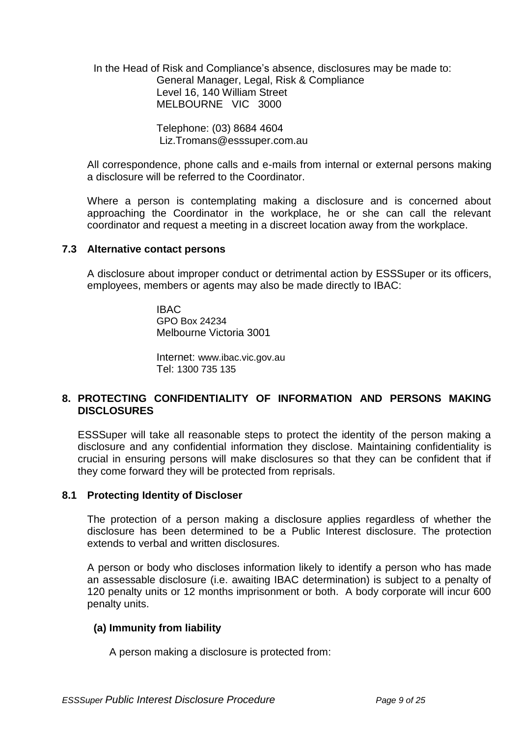In the Head of Risk and Compliance's absence, disclosures may be made to: General Manager, Legal, Risk & Compliance Level 16, 140 William Street MELBOURNE VIC 3000

> Telephone: (03) 8684 4604 Liz.Tromans@esssuper.com.au

All correspondence, phone calls and e-mails from internal or external persons making a disclosure will be referred to the Coordinator.

Where a person is contemplating making a disclosure and is concerned about approaching the Coordinator in the workplace, he or she can call the relevant coordinator and request a meeting in a discreet location away from the workplace.

#### **7.3 Alternative contact persons**

A disclosure about improper conduct or detrimental action by ESSSuper or its officers, employees, members or agents may also be made directly to IBAC:

> IBAC GPO Box 24234 Melbourne Victoria 3001

Internet: www.ibac.vic.gov.au Tel: 1300 735 135

#### <span id="page-8-0"></span>**8. PROTECTING CONFIDENTIALITY OF INFORMATION AND PERSONS MAKING DISCLOSURES**

ESSSuper will take all reasonable steps to protect the identity of the person making a disclosure and any confidential information they disclose. Maintaining confidentiality is crucial in ensuring persons will make disclosures so that they can be confident that if they come forward they will be protected from reprisals.

## **8.1 Protecting Identity of Discloser**

The protection of a person making a disclosure applies regardless of whether the disclosure has been determined to be a Public Interest disclosure. The protection extends to verbal and written disclosures.

A person or body who discloses information likely to identify a person who has made an assessable disclosure (i.e. awaiting IBAC determination) is subject to a penalty of 120 penalty units or 12 months imprisonment or both. A body corporate will incur 600 penalty units.

## **(a) Immunity from liability**

A person making a disclosure is protected from: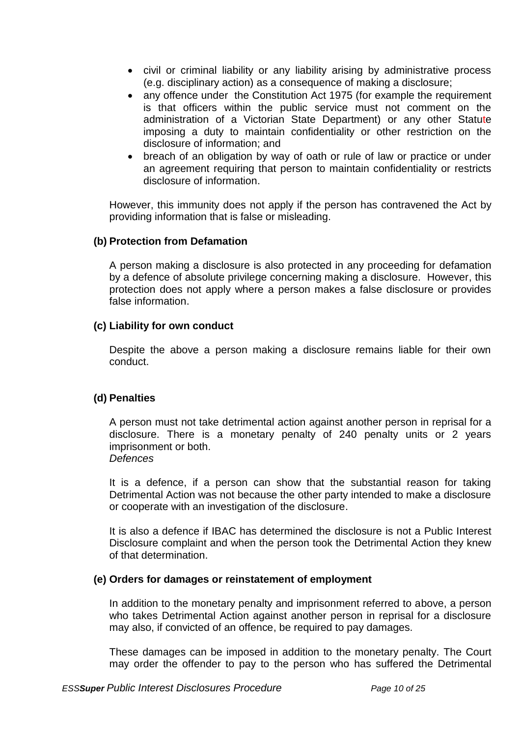- civil or criminal liability or any liability arising by administrative process (e.g. disciplinary action) as a consequence of making a disclosure;
- any offence under the Constitution Act 1975 (for example the requirement is that officers within the public service must not comment on the administration of a Victorian State Department) or any other Statute imposing a duty to maintain confidentiality or other restriction on the disclosure of information; and
- breach of an obligation by way of oath or rule of law or practice or under an agreement requiring that person to maintain confidentiality or restricts disclosure of information.

However, this immunity does not apply if the person has contravened the Act by providing information that is false or misleading.

# **(b) Protection from Defamation**

A person making a disclosure is also protected in any proceeding for defamation by a defence of absolute privilege concerning making a disclosure. However, this protection does not apply where a person makes a false disclosure or provides false information.

## **(c) Liability for own conduct**

Despite the above a person making a disclosure remains liable for their own conduct.

# **(d) Penalties**

A person must not take detrimental action against another person in reprisal for a disclosure. There is a monetary penalty of 240 penalty units or 2 years imprisonment or both. *Defences*

It is a defence, if a person can show that the substantial reason for taking Detrimental Action was not because the other party intended to make a disclosure or cooperate with an investigation of the disclosure.

It is also a defence if IBAC has determined the disclosure is not a Public Interest Disclosure complaint and when the person took the Detrimental Action they knew of that determination.

## **(e) Orders for damages or reinstatement of employment**

In addition to the monetary penalty and imprisonment referred to above, a person who takes Detrimental Action against another person in reprisal for a disclosure may also, if convicted of an offence, be required to pay damages.

These damages can be imposed in addition to the monetary penalty. The Court may order the offender to pay to the person who has suffered the Detrimental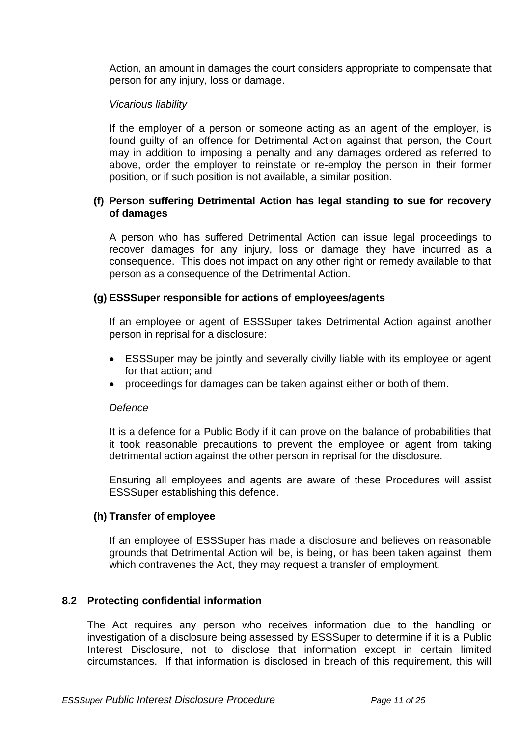Action, an amount in damages the court considers appropriate to compensate that person for any injury, loss or damage.

## *Vicarious liability*

If the employer of a person or someone acting as an agent of the employer, is found guilty of an offence for Detrimental Action against that person, the Court may in addition to imposing a penalty and any damages ordered as referred to above, order the employer to reinstate or re-employ the person in their former position, or if such position is not available, a similar position.

## **(f) Person suffering Detrimental Action has legal standing to sue for recovery of damages**

A person who has suffered Detrimental Action can issue legal proceedings to recover damages for any injury, loss or damage they have incurred as a consequence. This does not impact on any other right or remedy available to that person as a consequence of the Detrimental Action.

# **(g) ESSSuper responsible for actions of employees/agents**

If an employee or agent of ESSSuper takes Detrimental Action against another person in reprisal for a disclosure:

- ESSSuper may be jointly and severally civilly liable with its employee or agent for that action; and
- proceedings for damages can be taken against either or both of them.

## *Defence*

It is a defence for a Public Body if it can prove on the balance of probabilities that it took reasonable precautions to prevent the employee or agent from taking detrimental action against the other person in reprisal for the disclosure.

Ensuring all employees and agents are aware of these Procedures will assist ESSSuper establishing this defence.

## **(h) Transfer of employee**

If an employee of ESSSuper has made a disclosure and believes on reasonable grounds that Detrimental Action will be, is being, or has been taken against them which contravenes the Act, they may request a transfer of employment.

# **8.2 Protecting confidential information**

The Act requires any person who receives information due to the handling or investigation of a disclosure being assessed by ESSSuper to determine if it is a Public Interest Disclosure, not to disclose that information except in certain limited circumstances. If that information is disclosed in breach of this requirement, this will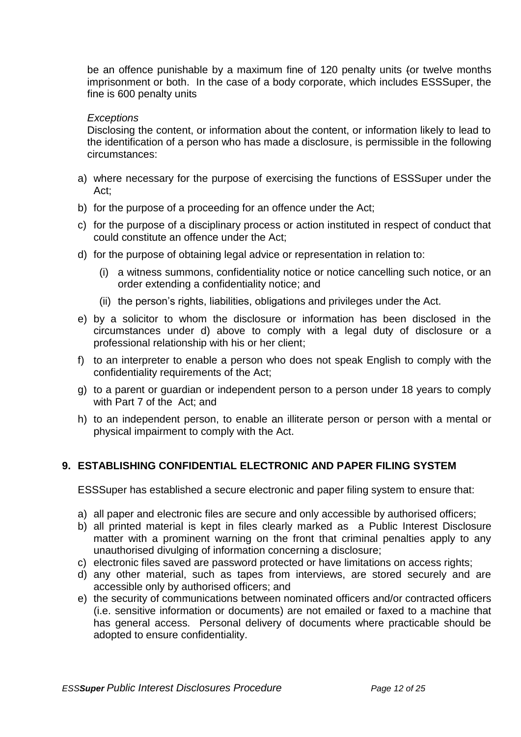be an offence punishable by a maximum fine of 120 penalty units (or twelve months imprisonment or both. In the case of a body corporate, which includes ESSSuper, the fine is 600 penalty units

#### *Exceptions*

Disclosing the content, or information about the content, or information likely to lead to the identification of a person who has made a disclosure, is permissible in the following circumstances:

- a) where necessary for the purpose of exercising the functions of ESSSuper under the Act;
- b) for the purpose of a proceeding for an offence under the Act;
- c) for the purpose of a disciplinary process or action instituted in respect of conduct that could constitute an offence under the Act;
- d) for the purpose of obtaining legal advice or representation in relation to:
	- (i) a witness summons, confidentiality notice or notice cancelling such notice, or an order extending a confidentiality notice; and
	- (ii) the person's rights, liabilities, obligations and privileges under the Act.
- e) by a solicitor to whom the disclosure or information has been disclosed in the circumstances under d) above to comply with a legal duty of disclosure or a professional relationship with his or her client;
- f) to an interpreter to enable a person who does not speak English to comply with the confidentiality requirements of the Act;
- g) to a parent or guardian or independent person to a person under 18 years to comply with Part 7 of the Act; and
- h) to an independent person, to enable an illiterate person or person with a mental or physical impairment to comply with the Act.

## <span id="page-11-0"></span>**9. ESTABLISHING CONFIDENTIAL ELECTRONIC AND PAPER FILING SYSTEM**

ESSSuper has established a secure electronic and paper filing system to ensure that:

- a) all paper and electronic files are secure and only accessible by authorised officers;
- b) all printed material is kept in files clearly marked as a Public Interest Disclosure matter with a prominent warning on the front that criminal penalties apply to any unauthorised divulging of information concerning a disclosure;
- c) electronic files saved are password protected or have limitations on access rights;
- d) any other material, such as tapes from interviews, are stored securely and are accessible only by authorised officers; and
- e) the security of communications between nominated officers and/or contracted officers (i.e. sensitive information or documents) are not emailed or faxed to a machine that has general access. Personal delivery of documents where practicable should be adopted to ensure confidentiality.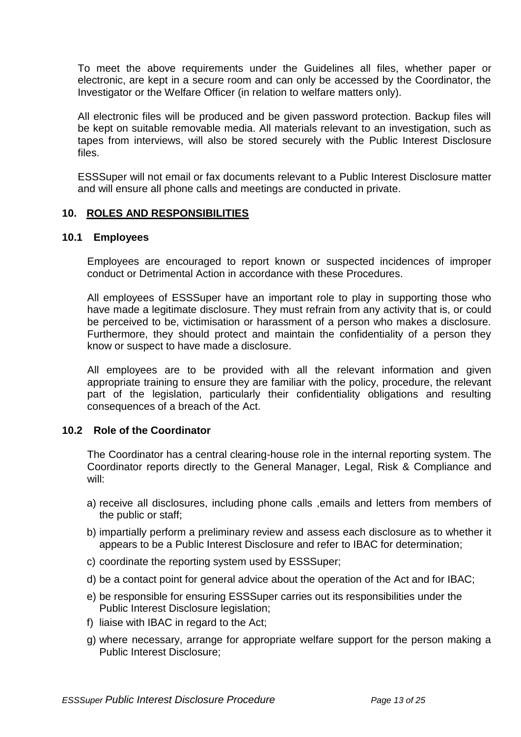To meet the above requirements under the Guidelines all files, whether paper or electronic, are kept in a secure room and can only be accessed by the Coordinator, the Investigator or the Welfare Officer (in relation to welfare matters only).

All electronic files will be produced and be given password protection. Backup files will be kept on suitable removable media. All materials relevant to an investigation, such as tapes from interviews, will also be stored securely with the Public Interest Disclosure files.

ESSSuper will not email or fax documents relevant to a Public Interest Disclosure matter and will ensure all phone calls and meetings are conducted in private.

## <span id="page-12-0"></span>**10. ROLES AND RESPONSIBILITIES**

#### **10.1 Employees**

Employees are encouraged to report known or suspected incidences of improper conduct or Detrimental Action in accordance with these Procedures.

All employees of ESSSuper have an important role to play in supporting those who have made a legitimate disclosure. They must refrain from any activity that is, or could be perceived to be, victimisation or harassment of a person who makes a disclosure. Furthermore, they should protect and maintain the confidentiality of a person they know or suspect to have made a disclosure.

All employees are to be provided with all the relevant information and given appropriate training to ensure they are familiar with the policy, procedure, the relevant part of the legislation, particularly their confidentiality obligations and resulting consequences of a breach of the Act.

## **10.2 Role of the Coordinator**

The Coordinator has a central clearing-house role in the internal reporting system. The Coordinator reports directly to the General Manager, Legal, Risk & Compliance and will:

- a) receive all disclosures, including phone calls ,emails and letters from members of the public or staff;
- b) impartially perform a preliminary review and assess each disclosure as to whether it appears to be a Public Interest Disclosure and refer to IBAC for determination;
- c) coordinate the reporting system used by ESSSuper;
- d) be a contact point for general advice about the operation of the Act and for IBAC;
- e) be responsible for ensuring ESSSuper carries out its responsibilities under the Public Interest Disclosure legislation;
- f) liaise with IBAC in regard to the Act;
- g) where necessary, arrange for appropriate welfare support for the person making a Public Interest Disclosure;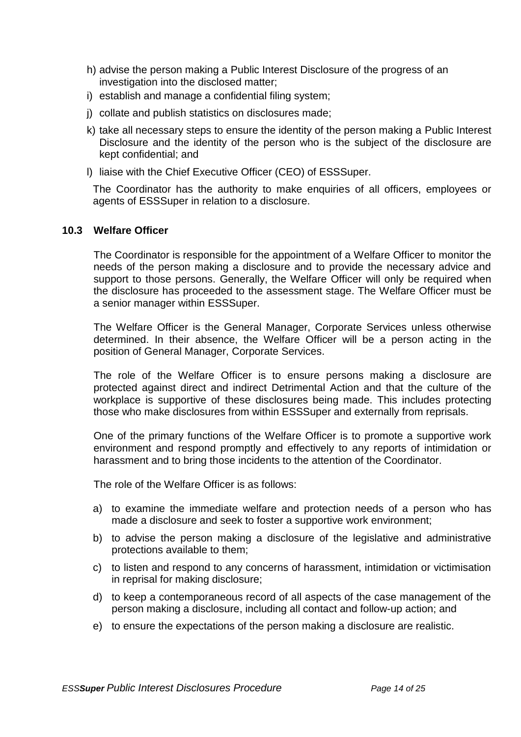- h) advise the person making a Public Interest Disclosure of the progress of an investigation into the disclosed matter;
- i) establish and manage a confidential filing system:
- j) collate and publish statistics on disclosures made;
- k) take all necessary steps to ensure the identity of the person making a Public Interest Disclosure and the identity of the person who is the subject of the disclosure are kept confidential; and
- l) liaise with the Chief Executive Officer (CEO) of ESSSuper.

The Coordinator has the authority to make enquiries of all officers, employees or agents of ESSSuper in relation to a disclosure.

#### **10.3 Welfare Officer**

The Coordinator is responsible for the appointment of a Welfare Officer to monitor the needs of the person making a disclosure and to provide the necessary advice and support to those persons. Generally, the Welfare Officer will only be required when the disclosure has proceeded to the assessment stage. The Welfare Officer must be a senior manager within ESSSuper.

The Welfare Officer is the General Manager, Corporate Services unless otherwise determined. In their absence, the Welfare Officer will be a person acting in the position of General Manager, Corporate Services.

The role of the Welfare Officer is to ensure persons making a disclosure are protected against direct and indirect Detrimental Action and that the culture of the workplace is supportive of these disclosures being made. This includes protecting those who make disclosures from within ESSSuper and externally from reprisals.

One of the primary functions of the Welfare Officer is to promote a supportive work environment and respond promptly and effectively to any reports of intimidation or harassment and to bring those incidents to the attention of the Coordinator.

The role of the Welfare Officer is as follows:

- a) to examine the immediate welfare and protection needs of a person who has made a disclosure and seek to foster a supportive work environment;
- b) to advise the person making a disclosure of the legislative and administrative protections available to them;
- c) to listen and respond to any concerns of harassment, intimidation or victimisation in reprisal for making disclosure;
- d) to keep a contemporaneous record of all aspects of the case management of the person making a disclosure, including all contact and follow-up action; and
- e) to ensure the expectations of the person making a disclosure are realistic.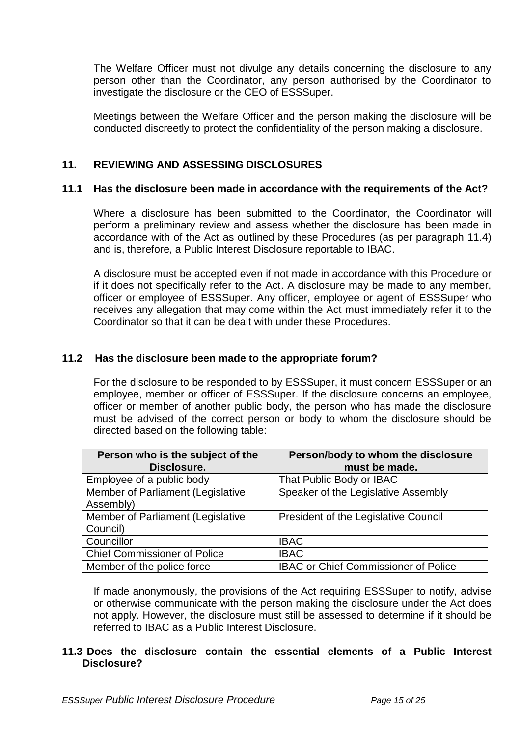The Welfare Officer must not divulge any details concerning the disclosure to any person other than the Coordinator, any person authorised by the Coordinator to investigate the disclosure or the CEO of ESSSuper.

Meetings between the Welfare Officer and the person making the disclosure will be conducted discreetly to protect the confidentiality of the person making a disclosure.

# <span id="page-14-0"></span>**11. REVIEWING AND ASSESSING DISCLOSURES**

#### **11.1 Has the disclosure been made in accordance with the requirements of the Act?**

Where a disclosure has been submitted to the Coordinator, the Coordinator will perform a preliminary review and assess whether the disclosure has been made in accordance with of the Act as outlined by these Procedures (as per paragraph 11.4) and is, therefore, a Public Interest Disclosure reportable to IBAC.

A disclosure must be accepted even if not made in accordance with this Procedure or if it does not specifically refer to the Act. A disclosure may be made to any member, officer or employee of ESSSuper. Any officer, employee or agent of ESSSuper who receives any allegation that may come within the Act must immediately refer it to the Coordinator so that it can be dealt with under these Procedures.

#### **11.2 Has the disclosure been made to the appropriate forum?**

For the disclosure to be responded to by ESSSuper, it must concern ESSSuper or an employee, member or officer of ESSSuper. If the disclosure concerns an employee, officer or member of another public body, the person who has made the disclosure must be advised of the correct person or body to whom the disclosure should be directed based on the following table:

| Person who is the subject of the    | Person/body to whom the disclosure          |
|-------------------------------------|---------------------------------------------|
| Disclosure.                         | must be made.                               |
| Employee of a public body           | That Public Body or IBAC                    |
| Member of Parliament (Legislative   | Speaker of the Legislative Assembly         |
| Assembly)                           |                                             |
| Member of Parliament (Legislative   | <b>President of the Legislative Council</b> |
| Council)                            |                                             |
| Councillor                          | <b>IBAC</b>                                 |
| <b>Chief Commissioner of Police</b> | <b>IBAC</b>                                 |
| Member of the police force          | <b>IBAC or Chief Commissioner of Police</b> |

If made anonymously, the provisions of the Act requiring ESSSuper to notify, advise or otherwise communicate with the person making the disclosure under the Act does not apply. However, the disclosure must still be assessed to determine if it should be referred to IBAC as a Public Interest Disclosure.

## **11.3 Does the disclosure contain the essential elements of a Public Interest Disclosure?**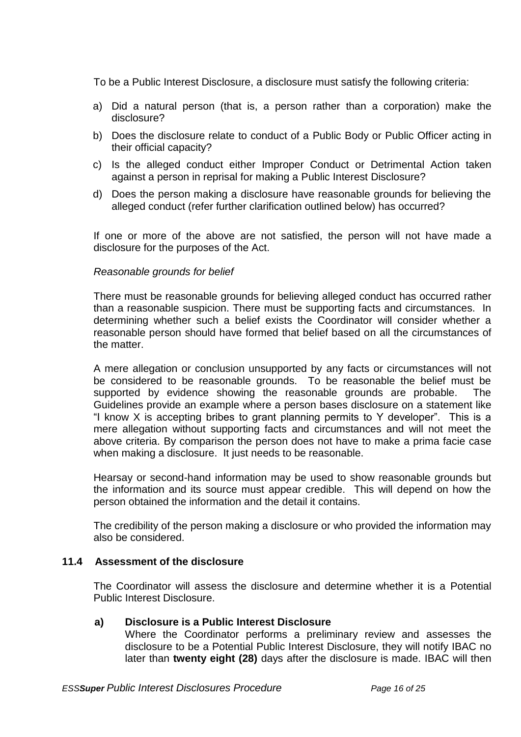To be a Public Interest Disclosure, a disclosure must satisfy the following criteria:

- a) Did a natural person (that is, a person rather than a corporation) make the disclosure?
- b) Does the disclosure relate to conduct of a Public Body or Public Officer acting in their official capacity?
- c) Is the alleged conduct either Improper Conduct or Detrimental Action taken against a person in reprisal for making a Public Interest Disclosure?
- d) Does the person making a disclosure have reasonable grounds for believing the alleged conduct (refer further clarification outlined below) has occurred?

If one or more of the above are not satisfied, the person will not have made a disclosure for the purposes of the Act.

#### *Reasonable grounds for belief*

There must be reasonable grounds for believing alleged conduct has occurred rather than a reasonable suspicion. There must be supporting facts and circumstances. In determining whether such a belief exists the Coordinator will consider whether a reasonable person should have formed that belief based on all the circumstances of the matter.

A mere allegation or conclusion unsupported by any facts or circumstances will not be considered to be reasonable grounds. To be reasonable the belief must be supported by evidence showing the reasonable grounds are probable. The Guidelines provide an example where a person bases disclosure on a statement like "I know X is accepting bribes to grant planning permits to Y developer". This is a mere allegation without supporting facts and circumstances and will not meet the above criteria. By comparison the person does not have to make a prima facie case when making a disclosure. It just needs to be reasonable.

Hearsay or second-hand information may be used to show reasonable grounds but the information and its source must appear credible. This will depend on how the person obtained the information and the detail it contains.

The credibility of the person making a disclosure or who provided the information may also be considered.

## **11.4 Assessment of the disclosure**

The Coordinator will assess the disclosure and determine whether it is a Potential Public Interest Disclosure.

#### **a) Disclosure is a Public Interest Disclosure**

Where the Coordinator performs a preliminary review and assesses the disclosure to be a Potential Public Interest Disclosure, they will notify IBAC no later than **twenty eight (28)** days after the disclosure is made. IBAC will then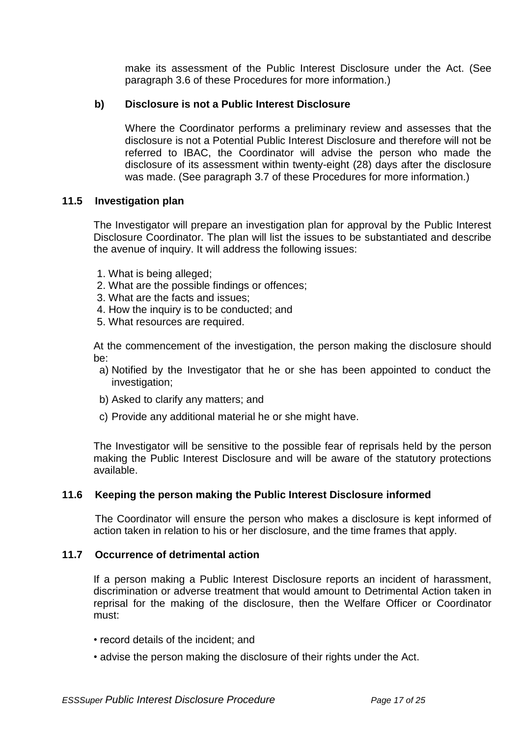make its assessment of the Public Interest Disclosure under the Act. (See paragraph 3.6 of these Procedures for more information.)

# **b) Disclosure is not a Public Interest Disclosure**

Where the Coordinator performs a preliminary review and assesses that the disclosure is not a Potential Public Interest Disclosure and therefore will not be referred to IBAC, the Coordinator will advise the person who made the disclosure of its assessment within twenty-eight (28) days after the disclosure was made. (See paragraph 3.7 of these Procedures for more information.)

## **11.5 Investigation plan**

The Investigator will prepare an investigation plan for approval by the Public Interest Disclosure Coordinator. The plan will list the issues to be substantiated and describe the avenue of inquiry. It will address the following issues:

- 1. What is being alleged;
- 2. What are the possible findings or offences;
- 3. What are the facts and issues;
- 4. How the inquiry is to be conducted; and
- 5. What resources are required.

At the commencement of the investigation, the person making the disclosure should be:

- a) Notified by the Investigator that he or she has been appointed to conduct the investigation;
- b) Asked to clarify any matters; and
- c) Provide any additional material he or she might have.

The Investigator will be sensitive to the possible fear of reprisals held by the person making the Public Interest Disclosure and will be aware of the statutory protections available.

## **11.6 Keeping the person making the Public Interest Disclosure informed**

The Coordinator will ensure the person who makes a disclosure is kept informed of action taken in relation to his or her disclosure, and the time frames that apply.

#### **11.7 Occurrence of detrimental action**

If a person making a Public Interest Disclosure reports an incident of harassment, discrimination or adverse treatment that would amount to Detrimental Action taken in reprisal for the making of the disclosure, then the Welfare Officer or Coordinator must:

- record details of the incident; and
- advise the person making the disclosure of their rights under the Act.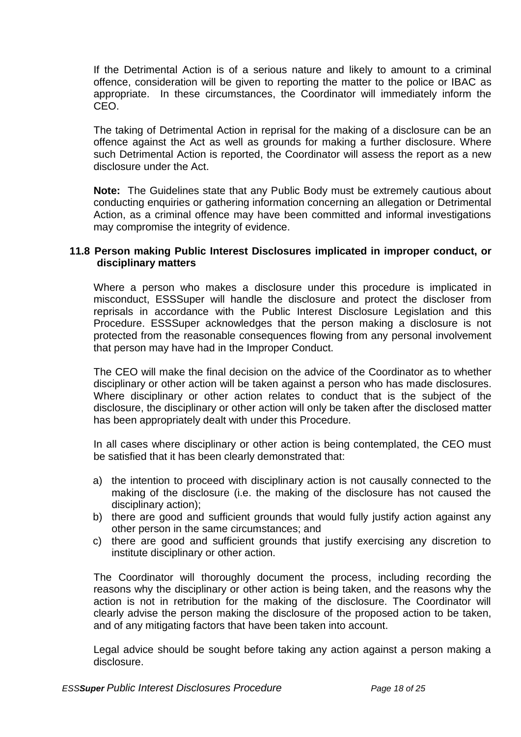If the Detrimental Action is of a serious nature and likely to amount to a criminal offence, consideration will be given to reporting the matter to the police or IBAC as appropriate. In these circumstances, the Coordinator will immediately inform the CEO.

The taking of Detrimental Action in reprisal for the making of a disclosure can be an offence against the Act as well as grounds for making a further disclosure. Where such Detrimental Action is reported, the Coordinator will assess the report as a new disclosure under the Act.

**Note:** The Guidelines state that any Public Body must be extremely cautious about conducting enquiries or gathering information concerning an allegation or Detrimental Action, as a criminal offence may have been committed and informal investigations may compromise the integrity of evidence.

#### **11.8 Person making Public Interest Disclosures implicated in improper conduct, or disciplinary matters**

Where a person who makes a disclosure under this procedure is implicated in misconduct, ESSSuper will handle the disclosure and protect the discloser from reprisals in accordance with the Public Interest Disclosure Legislation and this Procedure. ESSSuper acknowledges that the person making a disclosure is not protected from the reasonable consequences flowing from any personal involvement that person may have had in the Improper Conduct.

The CEO will make the final decision on the advice of the Coordinator as to whether disciplinary or other action will be taken against a person who has made disclosures. Where disciplinary or other action relates to conduct that is the subject of the disclosure, the disciplinary or other action will only be taken after the disclosed matter has been appropriately dealt with under this Procedure.

In all cases where disciplinary or other action is being contemplated, the CEO must be satisfied that it has been clearly demonstrated that:

- a) the intention to proceed with disciplinary action is not causally connected to the making of the disclosure (i.e. the making of the disclosure has not caused the disciplinary action);
- b) there are good and sufficient grounds that would fully justify action against any other person in the same circumstances; and
- c) there are good and sufficient grounds that justify exercising any discretion to institute disciplinary or other action.

The Coordinator will thoroughly document the process, including recording the reasons why the disciplinary or other action is being taken, and the reasons why the action is not in retribution for the making of the disclosure. The Coordinator will clearly advise the person making the disclosure of the proposed action to be taken, and of any mitigating factors that have been taken into account.

Legal advice should be sought before taking any action against a person making a disclosure.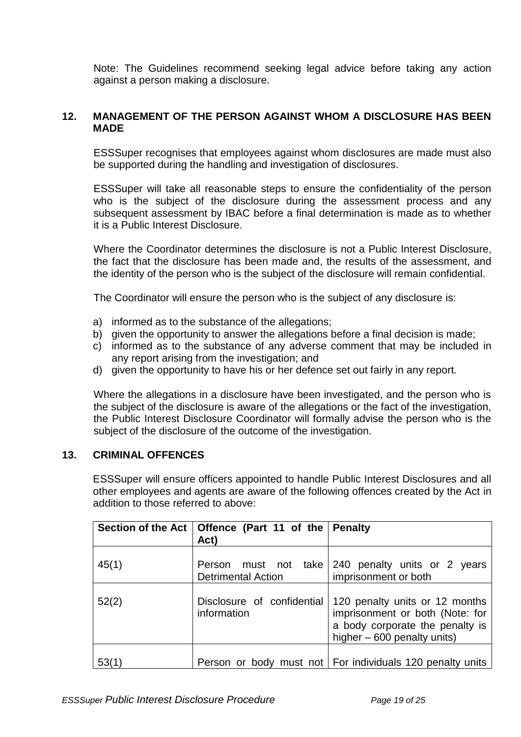Note: The Guidelines recommend seeking legal advice before taking any action against a person making a disclosure.

## <span id="page-18-0"></span>**12. MANAGEMENT OF THE PERSON AGAINST WHOM A DISCLOSURE HAS BEEN MADE**

ESSSuper recognises that employees against whom disclosures are made must also be supported during the handling and investigation of disclosures.

ESSSuper will take all reasonable steps to ensure the confidentiality of the person who is the subject of the disclosure during the assessment process and any subsequent assessment by IBAC before a final determination is made as to whether it is a Public Interest Disclosure.

Where the Coordinator determines the disclosure is not a Public Interest Disclosure, the fact that the disclosure has been made and, the results of the assessment, and the identity of the person who is the subject of the disclosure will remain confidential.

The Coordinator will ensure the person who is the subject of any disclosure is:

- a) informed as to the substance of the allegations;
- b) given the opportunity to answer the allegations before a final decision is made;
- c) informed as to the substance of any adverse comment that may be included in any report arising from the investigation; and
- d) given the opportunity to have his or her defence set out fairly in any report.

Where the allegations in a disclosure have been investigated, and the person who is the subject of the disclosure is aware of the allegations or the fact of the investigation, the Public Interest Disclosure Coordinator will formally advise the person who is the subject of the disclosure of the outcome of the investigation.

#### <span id="page-18-1"></span>**13. CRIMINAL OFFENCES**

ESSSuper will ensure officers appointed to handle Public Interest Disclosures and all other employees and agents are aware of the following offences created by the Act in addition to those referred to above:

|       | Section of the Act   Offence (Part 11 of the   Penalty<br>Act) |                                                                                                                                     |
|-------|----------------------------------------------------------------|-------------------------------------------------------------------------------------------------------------------------------------|
| 45(1) | <b>Detrimental Action</b>                                      | Person must not take 240 penalty units or 2 years<br>imprisonment or both                                                           |
| 52(2) | Disclosure of confidential<br>information                      | 120 penalty units or 12 months<br>imprisonment or both (Note: for<br>a body corporate the penalty is<br>higher - 600 penalty units) |
| 53(1) |                                                                | Person or body must not   For individuals 120 penalty units                                                                         |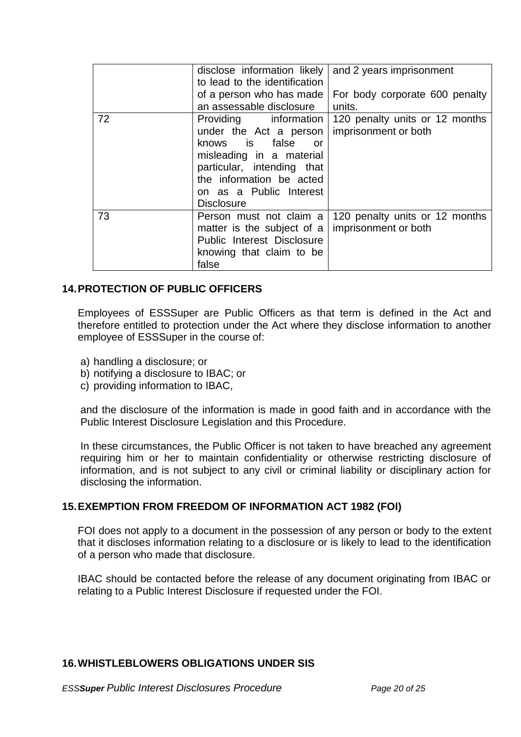|    | disclose information likely<br>to lead to the identification                                                                                                                         | and 2 years imprisonment                                                       |
|----|--------------------------------------------------------------------------------------------------------------------------------------------------------------------------------------|--------------------------------------------------------------------------------|
|    | of a person who has made<br>an assessable disclosure                                                                                                                                 | For body corporate 600 penalty<br>units.                                       |
| 72 | under the Act a person<br>knows is false<br>or<br>misleading in a material<br>particular, intending that<br>the information be acted<br>on as a Public Interest<br><b>Disclosure</b> | Providing information   120 penalty units or 12 months<br>imprisonment or both |
| 73 | Person must not claim a<br>matter is the subject of a<br>Public Interest Disclosure<br>knowing that claim to be<br>false                                                             | 120 penalty units or 12 months<br>imprisonment or both                         |

## <span id="page-19-0"></span>**14.PROTECTION OF PUBLIC OFFICERS**

Employees of ESSSuper are Public Officers as that term is defined in the Act and therefore entitled to protection under the Act where they disclose information to another employee of ESSSuper in the course of:

- a) handling a disclosure; or
- b) notifying a disclosure to IBAC; or
- c) providing information to IBAC,

and the disclosure of the information is made in good faith and in accordance with the Public Interest Disclosure Legislation and this Procedure.

In these circumstances, the Public Officer is not taken to have breached any agreement requiring him or her to maintain confidentiality or otherwise restricting disclosure of information, and is not subject to any civil or criminal liability or disciplinary action for disclosing the information.

## <span id="page-19-1"></span>**15.EXEMPTION FROM FREEDOM OF INFORMATION ACT 1982 (FOI)**

FOI does not apply to a document in the possession of any person or body to the extent that it discloses information relating to a disclosure or is likely to lead to the identification of a person who made that disclosure.

IBAC should be contacted before the release of any document originating from IBAC or relating to a Public Interest Disclosure if requested under the FOI.

## <span id="page-19-2"></span>**16.WHISTLEBLOWERS OBLIGATIONS UNDER SIS**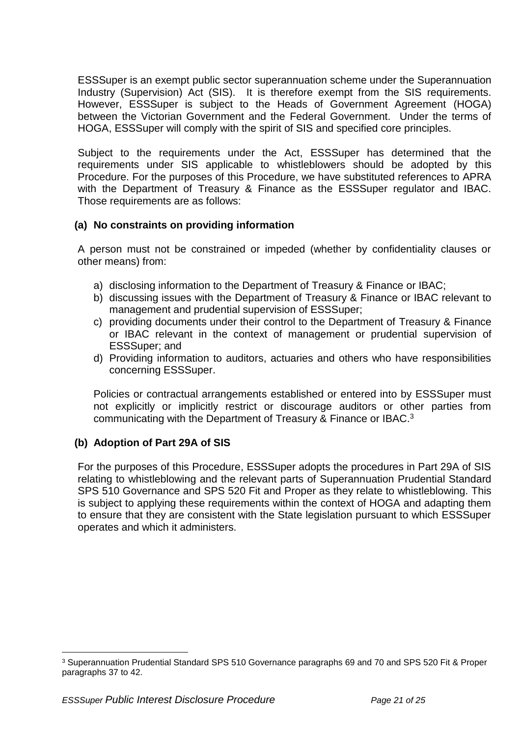ESSSuper is an exempt public sector superannuation scheme under the Superannuation Industry (Supervision) Act (SIS). It is therefore exempt from the SIS requirements. However, ESSSuper is subject to the Heads of Government Agreement (HOGA) between the Victorian Government and the Federal Government. Under the terms of HOGA, ESSSuper will comply with the spirit of SIS and specified core principles.

Subject to the requirements under the Act, ESSSuper has determined that the requirements under SIS applicable to whistleblowers should be adopted by this Procedure. For the purposes of this Procedure, we have substituted references to APRA with the Department of Treasury & Finance as the ESSSuper regulator and IBAC. Those requirements are as follows:

# **(a) No constraints on providing information**

A person must not be constrained or impeded (whether by confidentiality clauses or other means) from:

- a) disclosing information to the Department of Treasury & Finance or IBAC;
- b) discussing issues with the Department of Treasury & Finance or IBAC relevant to management and prudential supervision of ESSSuper;
- c) providing documents under their control to the Department of Treasury & Finance or IBAC relevant in the context of management or prudential supervision of ESSSuper; and
- d) Providing information to auditors, actuaries and others who have responsibilities concerning ESSSuper.

Policies or contractual arrangements established or entered into by ESSSuper must not explicitly or implicitly restrict or discourage auditors or other parties from communicating with the Department of Treasury & Finance or IBAC.<sup>3</sup>

## **(b) Adoption of Part 29A of SIS**

For the purposes of this Procedure, ESSSuper adopts the procedures in Part 29A of SIS relating to whistleblowing and the relevant parts of Superannuation Prudential Standard SPS 510 Governance and SPS 520 Fit and Proper as they relate to whistleblowing. This is subject to applying these requirements within the context of HOGA and adapting them to ensure that they are consistent with the State legislation pursuant to which ESSSuper operates and which it administers.

 $\overline{a}$ 

<sup>3</sup> Superannuation Prudential Standard SPS 510 Governance paragraphs 69 and 70 and SPS 520 Fit & Proper paragraphs 37 to 42.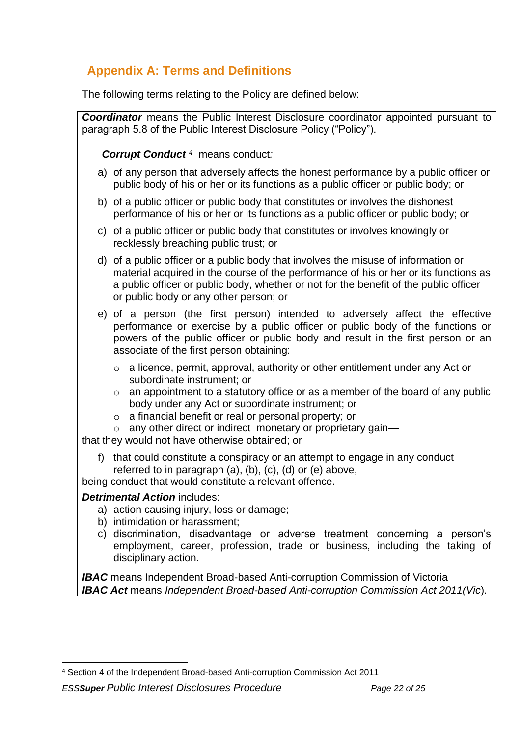# **Appendix A: Terms and Definitions**

The following terms relating to the Policy are defined below:

| <b>Coordinator</b> means the Public Interest Disclosure coordinator appointed pursuant to<br>paragraph 5.8 of the Public Interest Disclosure Policy ("Policy").                                                                                                                                                                                                                                                                                                    |
|--------------------------------------------------------------------------------------------------------------------------------------------------------------------------------------------------------------------------------------------------------------------------------------------------------------------------------------------------------------------------------------------------------------------------------------------------------------------|
| <b>Corrupt Conduct</b> <sup>4</sup> means conduct:                                                                                                                                                                                                                                                                                                                                                                                                                 |
| a) of any person that adversely affects the honest performance by a public officer or<br>public body of his or her or its functions as a public officer or public body; or                                                                                                                                                                                                                                                                                         |
| b) of a public officer or public body that constitutes or involves the dishonest<br>performance of his or her or its functions as a public officer or public body; or                                                                                                                                                                                                                                                                                              |
| c) of a public officer or public body that constitutes or involves knowingly or<br>recklessly breaching public trust; or                                                                                                                                                                                                                                                                                                                                           |
| d) of a public officer or a public body that involves the misuse of information or<br>material acquired in the course of the performance of his or her or its functions as<br>a public officer or public body, whether or not for the benefit of the public officer<br>or public body or any other person; or                                                                                                                                                      |
| e) of a person (the first person) intended to adversely affect the effective<br>performance or exercise by a public officer or public body of the functions or<br>powers of the public officer or public body and result in the first person or an<br>associate of the first person obtaining:                                                                                                                                                                     |
| $\circ$ a licence, permit, approval, authority or other entitlement under any Act or<br>subordinate instrument; or<br>an appointment to a statutory office or as a member of the board of any public<br>$\circ$<br>body under any Act or subordinate instrument; or<br>a financial benefit or real or personal property; or<br>$\circ$<br>any other direct or indirect monetary or proprietary gain-<br>$\circ$<br>that they would not have otherwise obtained; or |
| that could constitute a conspiracy or an attempt to engage in any conduct<br>f<br>referred to in paragraph $(a)$ , $(b)$ , $(c)$ , $(d)$ or $(e)$ above,<br>being conduct that would constitute a relevant offence.                                                                                                                                                                                                                                                |
| <b>Detrimental Action includes:</b><br>a) action causing injury, loss or damage;<br>b) intimidation or harassment;<br>c) discrimination, disadvantage or adverse treatment concerning a person's<br>employment, career, profession, trade or business, including the taking of<br>disciplinary action.                                                                                                                                                             |
| <b>IBAC</b> means Independent Broad-based Anti-corruption Commission of Victoria<br><b>IBAC Act means Independent Broad-based Anti-corruption Commission Act 2011(Vic).</b>                                                                                                                                                                                                                                                                                        |

 $\overline{a}$ 

<sup>4</sup> Section 4 of the Independent Broad-based Anti-corruption Commission Act 2011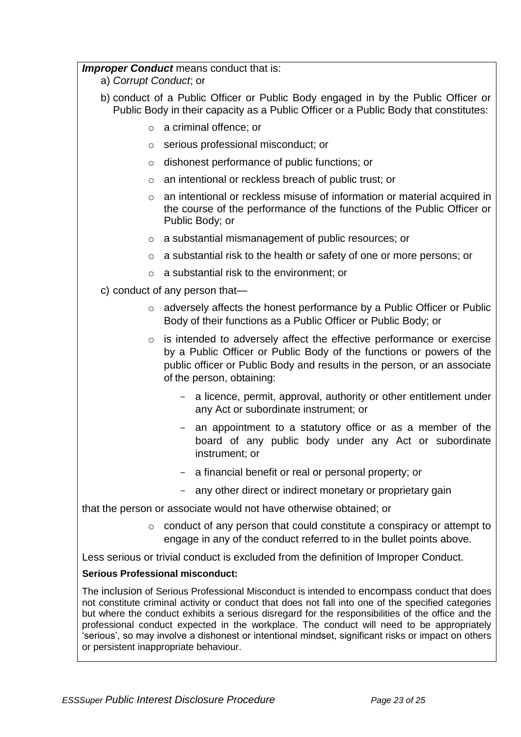#### *Improper Conduct* means conduct that is:

a) *Corrupt Conduct*; or

- b) conduct of a Public Officer or Public Body engaged in by the Public Officer or Public Body in their capacity as a Public Officer or a Public Body that constitutes:
	- o a criminal offence; or
	- o serious professional misconduct; or
	- o dishonest performance of public functions; or
	- o an intentional or reckless breach of public trust; or
	- o an intentional or reckless misuse of information or material acquired in the course of the performance of the functions of the Public Officer or Public Body; or
	- o a substantial mismanagement of public resources; or
	- o a substantial risk to the health or safety of one or more persons; or
	- o a substantial risk to the environment; or
- c) conduct of any person that
	- o adversely affects the honest performance by a Public Officer or Public Body of their functions as a Public Officer or Public Body; or
	- o is intended to adversely affect the effective performance or exercise by a Public Officer or Public Body of the functions or powers of the public officer or Public Body and results in the person, or an associate of the person, obtaining:
		- a licence, permit, approval, authority or other entitlement under any Act or subordinate instrument; or
		- an appointment to a statutory office or as a member of the board of any public body under any Act or subordinate instrument; or
		- a financial benefit or real or personal property; or
		- any other direct or indirect monetary or proprietary gain

that the person or associate would not have otherwise obtained; or

 $\circ$  conduct of any person that could constitute a conspiracy or attempt to engage in any of the conduct referred to in the bullet points above.

Less serious or trivial conduct is excluded from the definition of Improper Conduct.

## **Serious Professional misconduct:**

The inclusion of Serious Professional Misconduct is intended to encompass conduct that does not constitute criminal activity or conduct that does not fall into one of the specified categories but where the conduct exhibits a serious disregard for the responsibilities of the office and the professional conduct expected in the workplace. The conduct will need to be appropriately 'serious', so may involve a dishonest or intentional mindset, significant risks or impact on others or persistent inappropriate behaviour.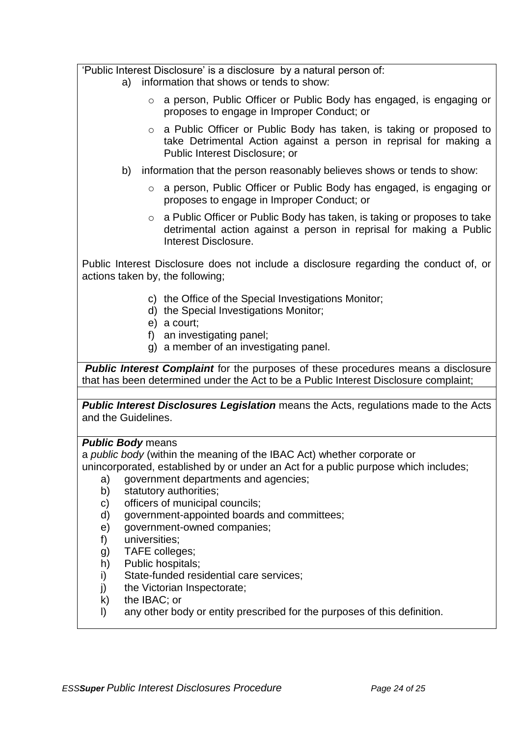'Public Interest Disclosure' is a disclosure by a natural person of:

- a) information that shows or tends to show:
	- o a person, Public Officer or Public Body has engaged, is engaging or proposes to engage in Improper Conduct; or
	- o a Public Officer or Public Body has taken, is taking or proposed to take Detrimental Action against a person in reprisal for making a Public Interest Disclosure; or
- b) information that the person reasonably believes shows or tends to show:
	- o a person, Public Officer or Public Body has engaged, is engaging or proposes to engage in Improper Conduct; or
	- o a Public Officer or Public Body has taken, is taking or proposes to take detrimental action against a person in reprisal for making a Public Interest Disclosure.

Public Interest Disclosure does not include a disclosure regarding the conduct of, or actions taken by, the following;

- c) the Office of the Special Investigations Monitor;
- d) the Special Investigations Monitor;
- e) a court;
- f) an investigating panel;
- g) a member of an investigating panel.

*Public Interest Complaint* for the purposes of these procedures means a disclosure that has been determined under the Act to be a Public Interest Disclosure complaint;

**Public Interest Disclosures Legislation** means the Acts, regulations made to the Acts and the Guidelines.

## *Public Body* means

a *public body* (within the meaning of the IBAC Act) whether corporate or unincorporated, established by or under an Act for a public purpose which includes;

- a) government departments and agencies;
- b) statutory authorities;
- c) officers of municipal councils;
- d) government-appointed boards and committees;
- e) government-owned companies;
- f) universities;
- g) TAFE colleges;
- h) Public hospitals;
- i) State-funded residential care services;
- j) the Victorian Inspectorate;
- k) the IBAC; or
- l) any other body or entity prescribed for the purposes of this definition.